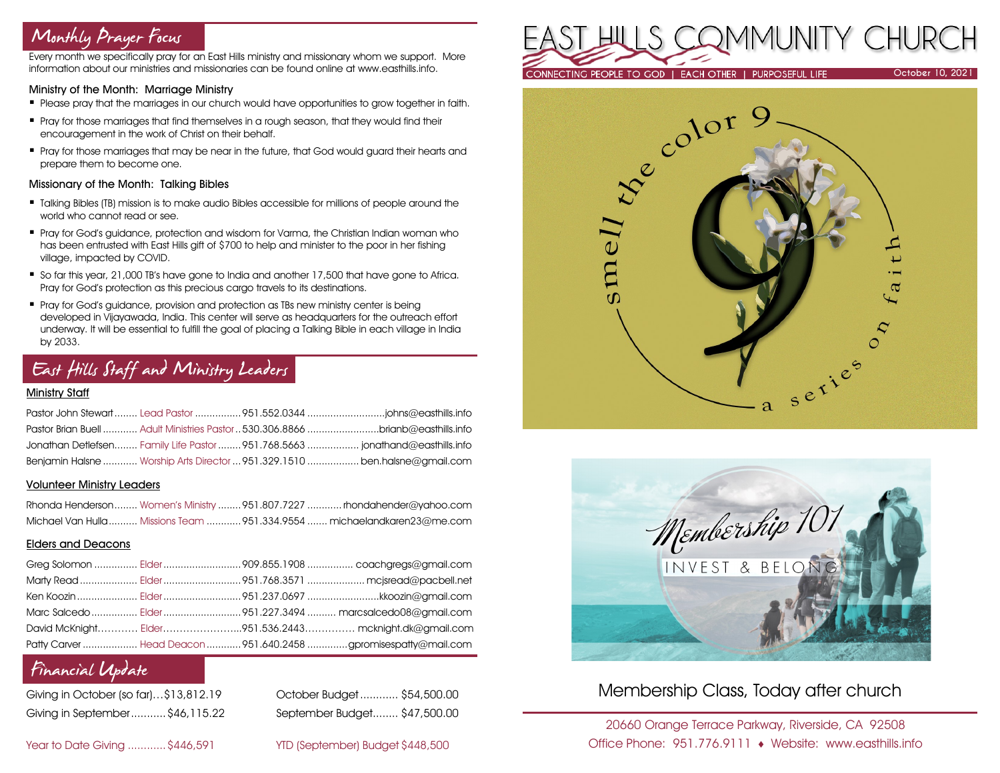# Monthly Prayer Focus

Every month we specifically pray for an East Hills ministry and missionary whom we support. More information about our ministries and missionaries can be found online at www.easthills.info.

### Ministry of the Month: Marriage Ministry

- **Please pray that the marriages in our church would have opportunities to grow together in faith.**
- **Pray for those marriages that find themselves in a rough season, that they would find their** encouragement in the work of Christ on their behalf.
- **Pray for those marriages that may be near in the future, that God would guard their hearts and** prepare them to become one.

### Missionary of the Month: Talking Bibles

- Talking Bibles (TB) mission is to make audio Bibles accessible for millions of people around the world who cannot read or see.
- Pray for God's guidance, protection and wisdom for Varma, the Christian Indian woman who has been entrusted with East Hills gift of \$700 to help and minister to the poor in her fishing village, impacted by COVID.
- So far this year, 21,000 TB's have gone to India and another 17,500 that have gone to Africa. Pray for God's protection as this precious cargo travels to its destinations.
- **•** Pray for God's guidance, provision and protection as TBs new ministry center is being developed in Vijayawada, India. This center will serve as headquarters for the outreach effort underway. It will be essential to fulfill the goal of placing a Talking Bible in each village in India by 2033.

# East Hills Staff and Ministry Leaders

#### Ministry Staff

|  | Pastor Brian Buell  Adult Ministries Pastor  530.306.8866 brianb@easthills.info |
|--|---------------------------------------------------------------------------------|
|  | Jonathan Detlefsen Family Life Pastor  951.768.5663  jonathand@easthills.info   |
|  | Benjamin Halsne  Worship Arts Director  951.329.1510  ben.halsne@gmail.com      |

#### Volunteer Ministry Leaders

|  | Rhonda Henderson Women's Ministry 951.807.7227  rhondahender@yahoo.com  |
|--|-------------------------------------------------------------------------|
|  | Michael Van Hulla  Missions Team 951.334.9554  michaelandkaren23@me.com |

### Elders and Deacons

|  | Ken Koozin  Elder 951.237.0697 kkoozin@gmail.com                |
|--|-----------------------------------------------------------------|
|  |                                                                 |
|  | David McKnight Elder951.536.2443 mcknight.dk@gmail.com          |
|  | Patty Carver  Head Deacon  951.640.2458 gpromisespatty@mail.com |

## Financial Update

| Giving in October (so far)\$13,812.19 |  |
|---------------------------------------|--|
| Giving in September \$46,115.22       |  |

October Budget............ \$54,500.00 Giving in September...........\$46,115.22 September Budget........ \$47,500.00

Year to Date Giving ............\$446,591 YID (September) Budget \$448,500







## Membership Class, Today after church

20660 Orange Terrace Parkway, Riverside, CA 92508 Office Phone: 951.776.9111 Website: www.easthills.info